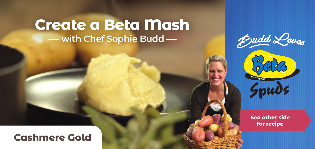# **Create a Beta Mash with Chef Sophie Budd**





**See other side for recipe**

### **Cashmere Gold**